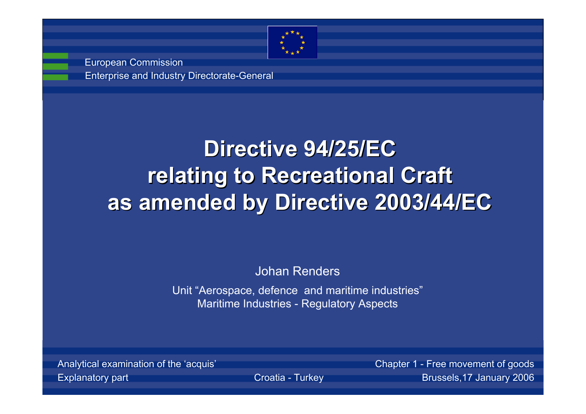

Enterprise and Industry Directorate-General European Commission

# **Directive 94/25/EC Directive 94/25/EC relating to Recreational Craft as amended by Directive 2003/44/EC as amended by Directive 2003/44/EC**

#### Johan Renders

Unit "Aerospace, defence and maritime industries" Maritime Industries - Regulatory Aspects

Analytical examination of the 'acquis' Chapter 1 - Free movement of good

Explanatory part **Explanatory part** Croatia - Turkey **Croatia - Turkey Brussels,17 January 200**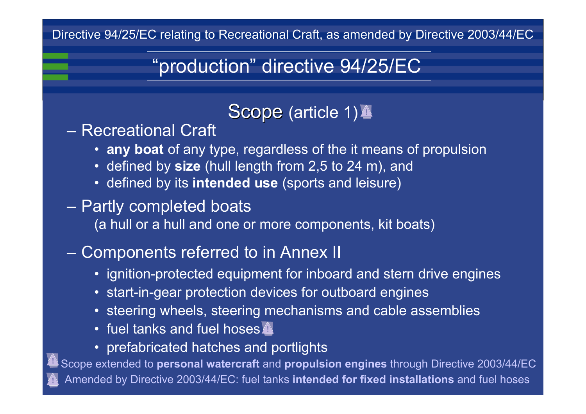## "production" directive 94/25/EC

#### Scope (article 1)<sup>2</sup>

– Recreational Craft

- **any boat** of any type, regardless of the it means of propulsion
- defined by **size** (hull length from 2,5 to 24 m), and
- defined by its **intended use** (sports and leisure)

#### Partly completed boats

(a hull or a hull and one or more components, kit boats)

#### Components referred to in Annex II

- ignition-protected equipment for inboard and stern drive engines
- start-in-gear protection devices for outboard engines
- steering wheels, steering mechanisms and cable assemblies
- fuel tanks and fuel hoses
- prefabricated hatches and portlights

Scope extended to **personal watercraft** and **propulsion engines** through Directive 2003/44/E Amended by Directive 2003/44/EC: fuel tanks **intended for fixed installations** and fuel hoses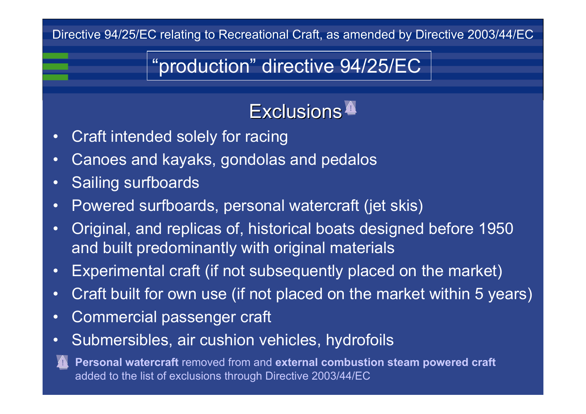## "production" directive 94/25/EC

## Exclusions

- •Craft intended solely for racing
- •Canoes and kayaks, gondolas and pedalos
- •Sailing surfboards
- •Powered surfboards, personal watercraft (jet skis)
- • Original, and replicas of, historical boats designed before 1950 and built predominantly with original materials
- •Experimental craft (if not subsequently placed on the market)
- •Craft built for own use (if not placed on the market within 5 years)
- •Commercial passenger craft
- •Submersibles, air cushion vehicles, hydrofoils



**Personal watercraft** removed from and **external combustion steam powered craft** added to the list of exclusions through Directive 2003/44/EC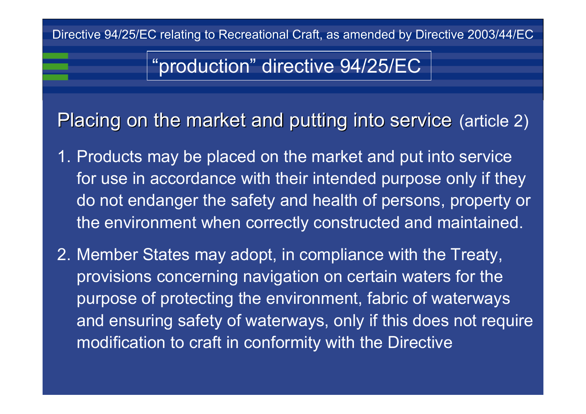## "production" directive 94/25/EC

Placing on the market and putting into service (article 2)

- 1. Products may be placed on the market and put into service for use in accordance with their intended purpose only if they do not endanger the safety and health of persons, property or the environment when correctly constructed and maintained.
- 2. Member States may adopt, in compliance with the Treaty, provisions concerning navigation on certain waters for the purpose of protecting the environment, fabric of waterways and ensuring safety of waterways, only if this does not require modification to craft in conformity with the Directive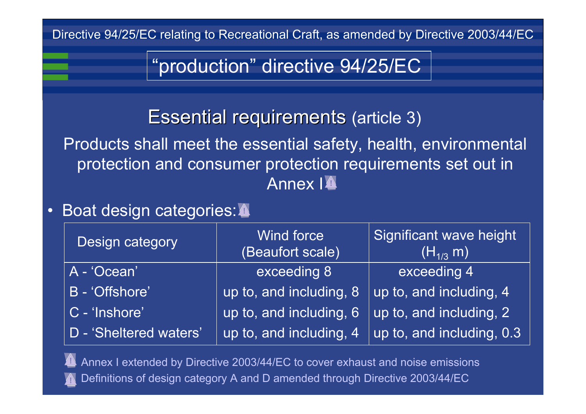"production" directive 94/25/EC

## Essential requirements (article 3)

Products shall meet the essential safety, health, environmental protection and consumer protection requirements set out in Annex I<sup><sup>1</sup></sup>

#### Boat design categories:

| <b>Design category</b> | <b>Wind force</b><br>(Beaufort scale) | Significant wave height<br>$\overline{(\mathsf{H}_{1/3}^{\mathstrut} \, \mathsf{m})^{\mathsf{H}}}$ |  |  |
|------------------------|---------------------------------------|----------------------------------------------------------------------------------------------------|--|--|
| A - 'Ocean'            | exceeding 8                           | exceeding 4                                                                                        |  |  |
| B - 'Offshore'         | up to, and including, 8               | up to, and including, 4                                                                            |  |  |
| C - 'Inshore'          | up to, and including, 6               | up to, and including, 2                                                                            |  |  |
| D - 'Sheltered waters' | up to, and including, 4               | up to, and including, 0.3                                                                          |  |  |

Annex I extended by Directive 2003/44/EC to cover exhaust and noise emissions Definitions of design category A and D amended through Directive 2003/44/EC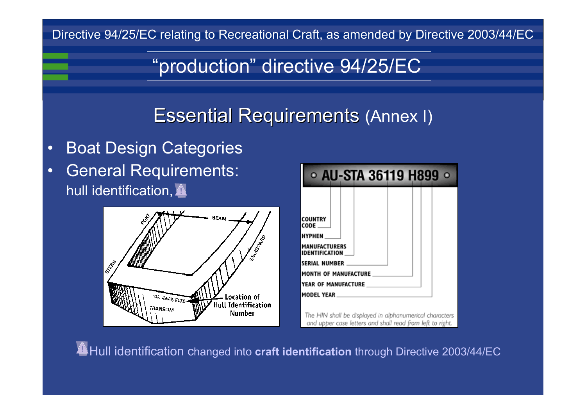## "production" directive 94/25/EC

## Essential Requirements (Annex I)

#### General Requirements: hull identification, Boat Design Categories



| $\circ$ AU-STA 36119 H899<br>$\bullet$              |  |  |  |  |  |  |  |  |  |
|-----------------------------------------------------|--|--|--|--|--|--|--|--|--|
|                                                     |  |  |  |  |  |  |  |  |  |
| <b>COUNTRY</b><br><b>CODE</b>                       |  |  |  |  |  |  |  |  |  |
| <b>HYPHEN</b>                                       |  |  |  |  |  |  |  |  |  |
| <b>MANUFACTURERS</b><br><b>IDENTIFICATION</b>       |  |  |  |  |  |  |  |  |  |
| <b>SERIAL NUMBER</b><br><b>MONTH OF MANUFACTURE</b> |  |  |  |  |  |  |  |  |  |
| <b>YEAR OF MANUFACTURE</b>                          |  |  |  |  |  |  |  |  |  |
| <b>MODEL YEAR</b>                                   |  |  |  |  |  |  |  |  |  |

The HIN shall be displayed in alphanumerical characters and upper case letters and shall read from left to right.

\* Hull identification changed into **craft identification** through Directive 2003/44/EC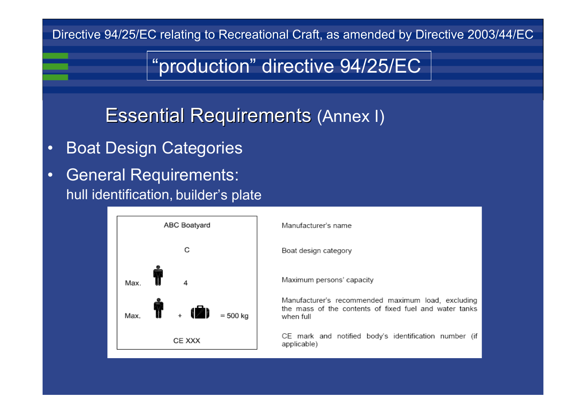## "production" directive 94/25/EC

**Essential Requirements (Annex I)** 

Boat Design Categories

hull identification, builder's plate General Requirements:



Manufacturer's name

Boat design category

Maximum persons' capacity

Manufacturer's recommended maximum load, excluding the mass of the contents of fixed fuel and water tanks when full

CE mark and notified body's identification number (if applicable)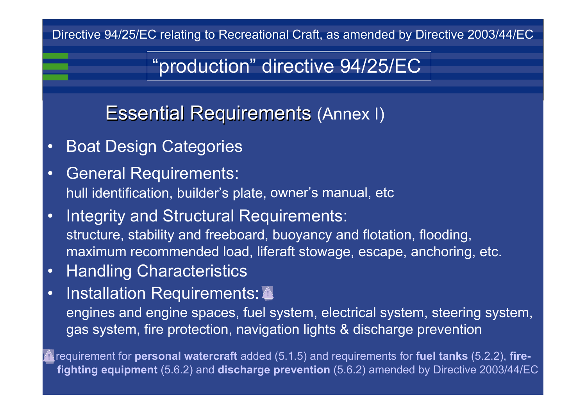## "production" directive 94/25/EC

Essential Requirements (Annex I)

- Boat Design Categories
- General Requirements:
- hull identification, builder's plate, owner's manual, etc
- Integrity and Structural Requirements:
- structure, stability and freeboard, buoyancy and flotation, flooding, maximum recommended load, liferaft stowage, escape, anchoring, etc.
- Handling Characteristics
- Installation Requirements:  $\triangle$
- engines and engine spaces, fuel system, electrical system, steering system, gas system, fire protection, navigation lights & discharge prevention

requirement for **personal watercraft** added (5.1.5) and requirements for fuel tanks (5.2.2), fire**fighting equipment** (5.6.2) and **discharge prevention** (5.6.2) amended by Directive 2003/44/E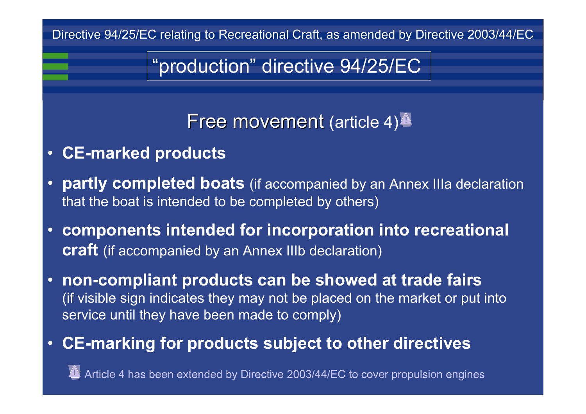## "production" directive 94/25/EC

## Free movement (article 4) $\blacktriangle$

- **CE-marked products**
- **partly completed boats** (if accompanied by an Annex IIIa declaration that the boat is intended to be completed by others)
- **components intended for incorporation into recreational craft** (if accompanied by an Annex IIIb declaration)
- **non-compliant products can be showed at trade fairs** (if visible sign indicates they may not be placed on the market or put into service until they have been made to comply)

#### **CE-marking for products subject to other directives**

Article 4 has been extended by Directive 2003/44/EC to cover propulsion engines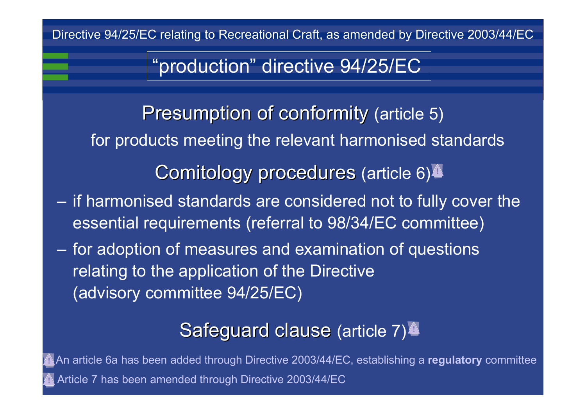"production" directive 94/25/EC

Presumption of conformity (article 5) for products meeting the relevant harmonised standards Comitology procedures (article 6)<sup>4</sup> if harmonised standards are considered not to fully cover the essential requirements (referral to 98/34/EC committee) for adoption of measures and examination of questions relating to the application of the Directive (advisory committee 94/25/EC)

 $\sim$ 

 $\sim$ 

#### Safeguard clause (article 7)<sup>4</sup>

An article 6a has been added through Directive 2003/44/EC, establishing a **regulatory** committe Article 7 has been amended through Directive 2003/44/EC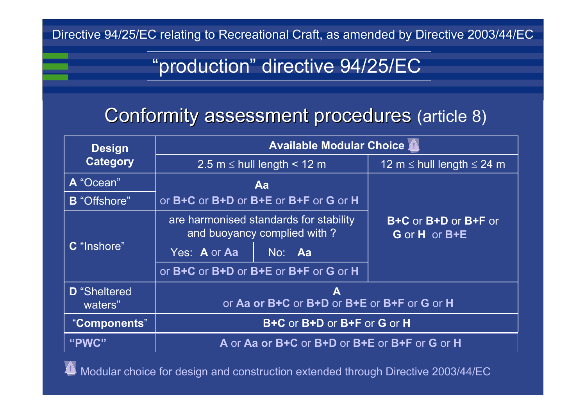## "production" directive 94/25/EC

#### Conformity assessment procedures (article 8)

| <b>Design</b>                  | <b>Available Modular Choice A</b>                |                                                                       |                                       |  |  |  |
|--------------------------------|--------------------------------------------------|-----------------------------------------------------------------------|---------------------------------------|--|--|--|
| <b>Category</b>                |                                                  | 2.5 $m \le$ hull length < 12 m                                        | 12 m $\le$ hull length $\le$ 24 m     |  |  |  |
| A "Ocean"                      |                                                  | Aa                                                                    |                                       |  |  |  |
| <b>B</b> "Offshore"            |                                                  | or B+C or B+D or B+E or B+F or G or H                                 |                                       |  |  |  |
| C "Inshore"                    |                                                  | are harmonised standards for stability<br>and buoyancy complied with? | B+C or B+D or B+F or<br>G or H or B+E |  |  |  |
|                                | Yes: A or Aa                                     | No: Aa                                                                |                                       |  |  |  |
|                                |                                                  | or B+C or B+D or B+E or B+F or G or H                                 |                                       |  |  |  |
| <b>D</b> "Sheltered<br>waters" | A<br>or Aa or B+C or B+D or B+E or B+F or G or H |                                                                       |                                       |  |  |  |
| "Components"                   | B+C or B+D or B+F or G or H                      |                                                                       |                                       |  |  |  |
| "PWC"                          | A or Aa or B+C or B+D or B+E or B+F or G or H    |                                                                       |                                       |  |  |  |

Modular choice for design and construction extended through Directive 2003/44/EC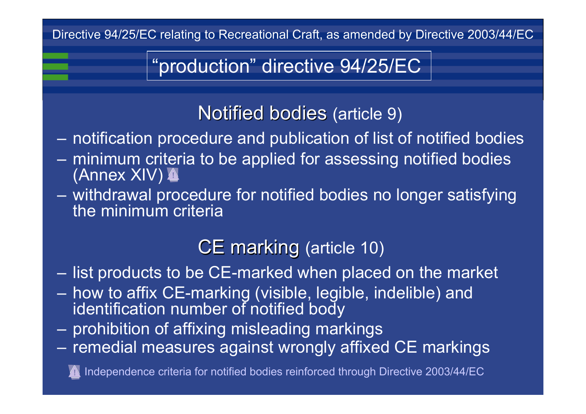"production" directive 94/25/EC

#### Notified bodies (article 9)

- $\mathcal{L}_{\mathcal{A}}$ notification procedure and publication of list of notified bodies
- – minimum criteria to be applied for assessing notified bodies (Annex XIV)
- – withdrawal procedure for notified bodies no longer satisfying the minimum criteria

## CE marking (article 10)

–list products to be CE-marked when placed on the market

- $\sim$  how to affix CE-marking (visible, legible, indelible) and identification number of notified body
- $\sim$ prohibition of affixing misleading markings
- $\sim$ remedial measures against wrongly affixed CE markings

Independence criteria for notified bodies reinforced through Directive 2003/44/EC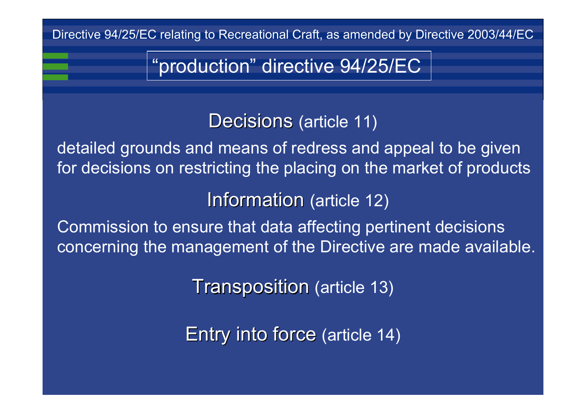"production" directive 94/25/EC

Decisions (article 11)

detailed grounds and means of redress and appeal to be given for decisions on restricting the placing on the market of products

**Information** (article 12)

Commission to ensure that data affecting pertinent decisions concerning the management of the Directive are made available.

**Transposition (article 13)** 

Entry into force (article 14)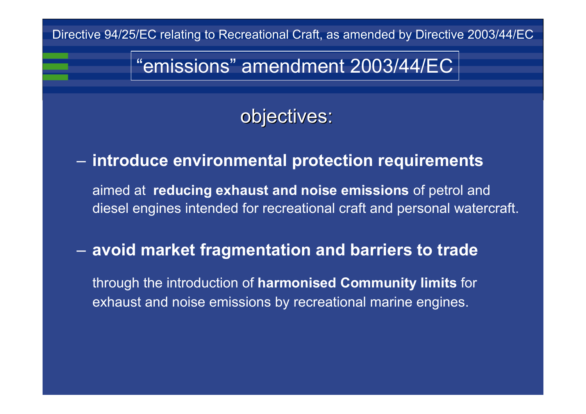## "emissions" amendment 2003/44/EC

objectives:

#### $\mathcal{L}_{\mathcal{A}}$ **introduce environmental protection requirements**

aimed at **reducing exhaust and noise emissions** of petrol and diesel engines intended for recreational craft and personal watercraft.

#### **avoid market fragmentation and barriers to trade**

through the introduction of **harmonised Community limits** for exhaust and noise emissions by recreational marine engines.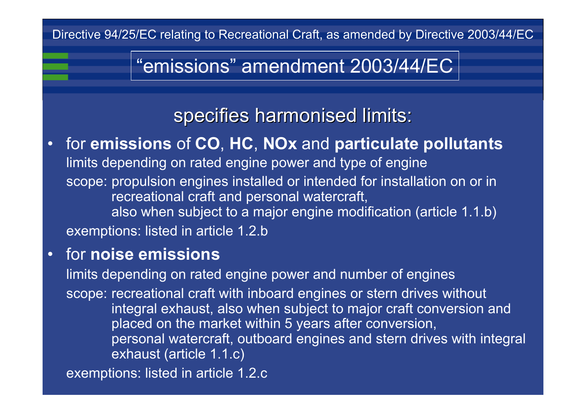## "emissions" amendment 2003/44/EC

### specifies harmonised limits:

#### for **emissions** of **CO**, **HC**, **NOx** and **particulate pollutants**

limits depending on rated engine power and type of engine

scope: propulsion engines installed or intended for installation on or in recreational craft and personal watercraft,

also when subject to a major engine modification (article 1.1.b)

exemptions: listed in article 1.2.b

#### for **noise emissions**

limits depending on rated engine power and number of engines

scope: recreational craft with inboard engines or stern drives without integral exhaust, also when subject to major craft conversion and placed on the market within 5 years after conversion, personal watercraft, outboard engines and stern drives with integral exhaust (article 1.1.c)

exemptions: listed in article 1.2.c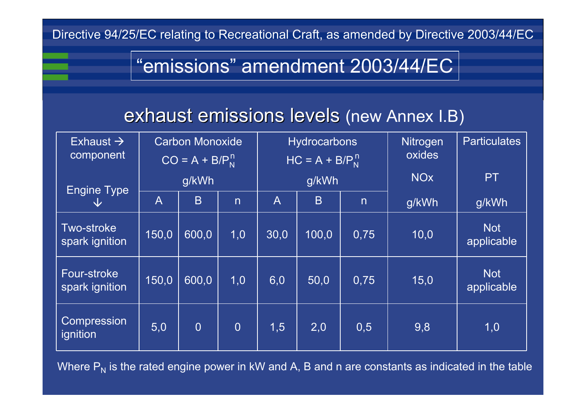## "emissions" amendment 2003/44/EC

#### exhaust emissions levels (new Annex I.B)

| Exhaust $\rightarrow$<br>component  | <b>Carbon Monoxide</b><br>$\overline{CO}$ = A + B/P <sub>N</sub> <sup>n</sup> |                |                         | <b>Hydrocarbons</b><br>$HC = A + B/PNn$ |       |                         | <b>Nitrogen</b><br>oxides | <b>Particulates</b>      |
|-------------------------------------|-------------------------------------------------------------------------------|----------------|-------------------------|-----------------------------------------|-------|-------------------------|---------------------------|--------------------------|
| <b>Engine Type</b>                  | g/kWh                                                                         |                |                         | g/kWh                                   |       |                         | <b>NO<sub>x</sub></b>     | <b>PT</b>                |
| $\sqrt{ }$                          | $\mathsf{A}$                                                                  | B              | $\overline{\mathsf{n}}$ | $\overline{\mathsf{A}}$                 | B     | $\overline{\mathsf{n}}$ | g/kWh                     | g/kWh                    |
| <b>Two-stroke</b><br>spark ignition | 150,0                                                                         | 600,0          | 1,0                     | 30,0                                    | 100,0 | 0,75                    | 10,0                      | <b>Not</b><br>applicable |
| Four-stroke<br>spark ignition       | 150,0                                                                         | 600,0          | 1,0                     | 6,0                                     | 50,0  | 0,75                    | 15,0                      | <b>Not</b><br>applicable |
| Compression<br>ignition             | 5,0                                                                           | $\overline{0}$ | $\overline{0}$          | 1,5                                     | 2,0   | 0,5                     | 9,8                       | 1,0                      |

Where  $\mathsf{P}_\mathsf{N}$  is the rated engine power in kW and A, B and n are constants as indicated in the table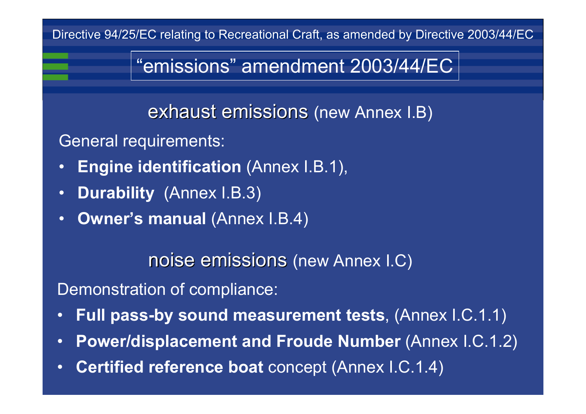## "emissions" amendment 2003/44/EC

exhaust emissions (new Annex I.B)

- General requirements:
- •**Engine identification** (Annex I.B.1),
- •**Durability** (Annex I.B.3)
- **Owner's manual** (Annex I.B.4)

noise emissions (new Annex I.C)

Demonstration of compliance:

- **Full pass-by sound measurement tests**, (Annex I.C.1.1)
- •**Power/displacement and Froude Number (Annex I.C.1.2)**
- **Certified reference boat** concept (Annex I.C.1.4)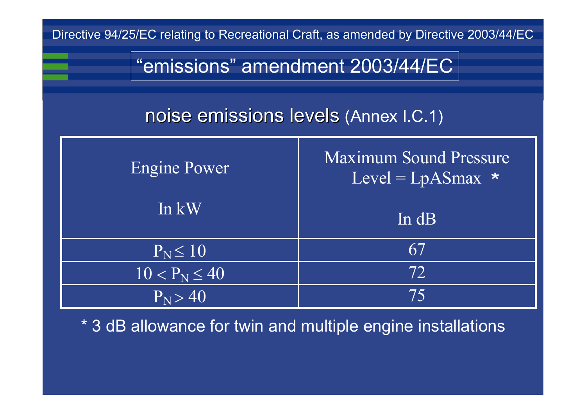

\* 3 dB allowance for twin and multiple engine installations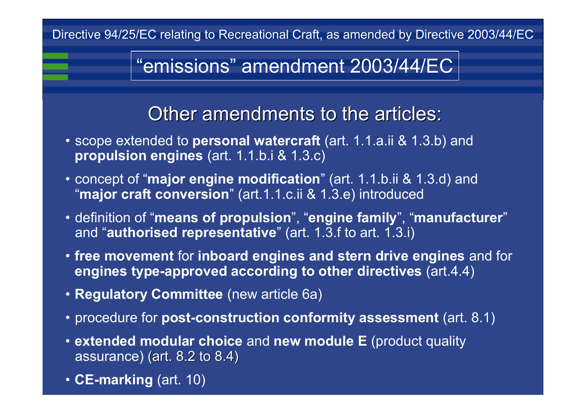## "emissions" amendment 2003/44/EC

#### Other amendments to the articles:

- scope extended to **personal watercraft** (art. 1.1.a.ii & 1.3.b) and **propulsion engines** (art. 1.1.b.i & 1.3.c)
- concept of "**major engine modification**" (art. 1.1.b.ii & 1.3.d) and "**major craft conversion**" (art.1.1.c.ii & 1.3.e) introduced
- definition of "**means of propulsion**", "**engine family**", "**manufacturer** "and "**authorised representative**" (art. 1.3.f to art. 1.3.i)
- **free movement** for **inboard engines and stern drive engines** and for **engines type-approved according to other directives** (art.4.4)
- **Regulatory Committee** (new article 6a)
- procedure for **post-construction conformity assessment** (art. 8.1)
- **extended modular choice** and **new module E** (product quality assurance) (art.  $8.2$  to  $8.4$ )
- **CE-marking** (art. 10)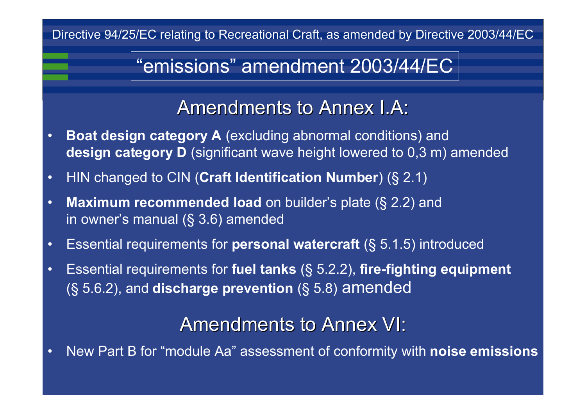#### "emissions" amendment 2003/44/EC

Amendments to Annex I.A:

- **Boat design category A** (excluding abnormal conditions) and **design category D** (significant wave height lowered to 0,3 m) amended
- HIN changed to CIN (**Craft Identification Number**) (§ 2.1)
- **Maximum recommended load** on builder's plate (§ 2.2) and in owner's manual (§ 3.6) amended
- Essential requirements for **personal watercraft** (§ 5.1.5) introduced
- Essential requirements for **fuel tanks** (§ 5.2.2), **fire-fighting equipment**  (§ 5.6.2), and **discharge prevention** (§ 5.8) amended

Amendments to Annex VI:

New Part B for "module Aa" assessment of conformity with **noise emissions**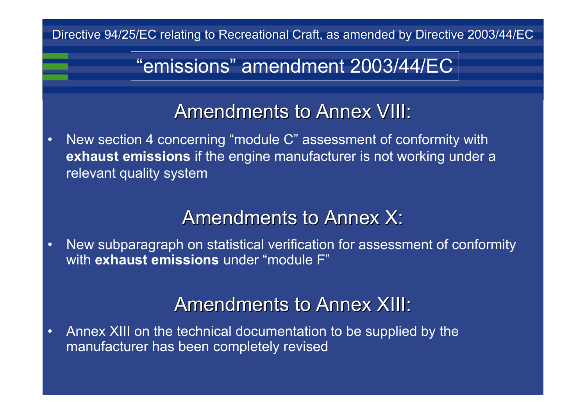## "emissions" amendment 2003/44/EC

#### Amendments to Annex VIII:

 New section 4 concerning "module C" assessment of conformity with **exhaust emissions** if the engine manufacturer is not working under a relevant quality system

#### Amendments to Annex X:

 New subparagraph on statistical verification for assessment of conformity with **exhaust emissions** under "module F"

#### Amendments to Annex XIII:

 Annex XIII on the technical documentation to be supplied by the manufacturer has been completely revised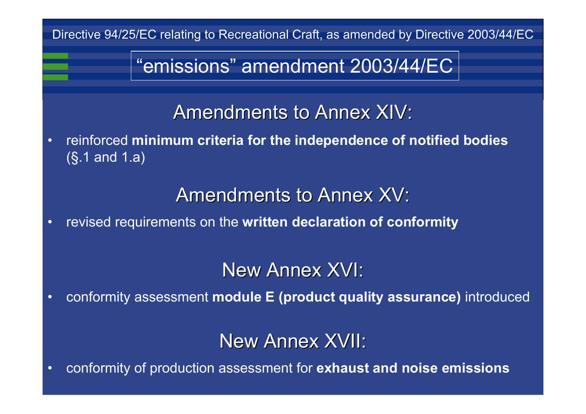"emissions" amendment 2003/44/EC

Amendments to Annex XIV:

 reinforced **minimum criteria for the independence of notified bodies** (§.1 and 1.a)

Amendments to Annex XV:

revised requirements on the **written declaration of conformity**

New Annex XVI:

conformity assessment **module E (product quality assurance)** introduced

New Annex XVII:

conformity of production assessment for **exhaust and noise emissions**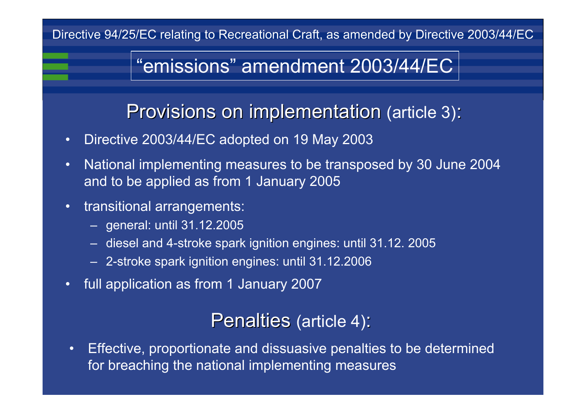## "emissions" amendment 2003/44/EC

Provisions on implementation (article 3):

- •Directive 2003/44/EC adopted on 19 May 2003
- • National implementing measures to be transposed by 30 June 2004 and to be applied as from 1 January 2005
- • transitional arrangements:
	- general: until 31.12.2005
	- –diesel and 4-stroke spark ignition engines: until 31.12. 2005
	- 2-stroke spark ignition engines: until 31.12.2006
- •full application as from 1 January 2007

Penalties (article 4):

• Effective, proportionate and dissuasive penalties to be determined for breaching the national implementing measures